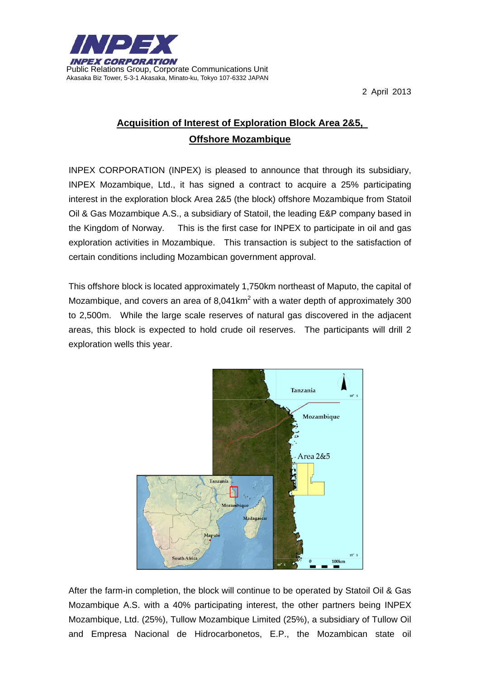

2 April 2013

## **Acquisition of Interest of Exploration Block Area 2&5, Offshore Mozambique**

INPEX CORPORATION (INPEX) is pleased to announce that through its subsidiary, INPEX Mozambique, Ltd., it has signed a contract to acquire a 25% participating interest in the exploration block Area 2&5 (the block) offshore Mozambique from Statoil Oil & Gas Mozambique A.S., a subsidiary of Statoil, the leading E&P company based in the Kingdom of Norway. This is the first case for INPEX to participate in oil and gas exploration activities in Mozambique. This transaction is subject to the satisfaction of certain conditions including Mozambican government approval.

This offshore block is located approximately 1,750km northeast of Maputo, the capital of Mozambique, and covers an area of 8,041 km<sup>2</sup> with a water depth of approximately 300 to 2,500m. While the large scale reserves of natural gas discovered in the adjacent areas, this block is expected to hold crude oil reserves. The participants will drill 2 exploration wells this year.



After the farm-in completion, the block will continue to be operated by Statoil Oil & Gas Mozambique A.S. with a 40% participating interest, the other partners being INPEX Mozambique, Ltd. (25%), Tullow Mozambique Limited (25%), a subsidiary of Tullow Oil and Empresa Nacional de Hidrocarbonetos, E.P., the Mozambican state oil